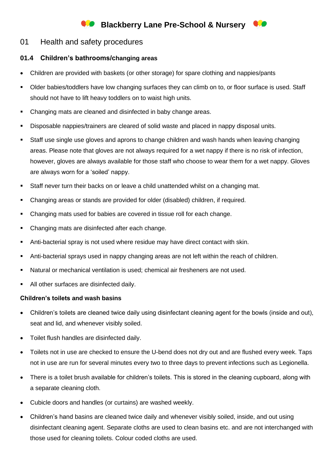## **Blackberry Lane Pre-School & Nursery**

## 01 Health and safety procedures

## **01.4 Children's bathrooms/changing areas**

- Children are provided with baskets (or other storage) for spare clothing and nappies/pants
- Older babies/toddlers have low changing surfaces they can climb on to, or floor surface is used. Staff should not have to lift heavy toddlers on to waist high units.
- Changing mats are cleaned and disinfected in baby change areas.
- Disposable nappies/trainers are cleared of solid waste and placed in nappy disposal units.
- Staff use single use gloves and aprons to change children and wash hands when leaving changing areas. Please note that gloves are not always required for a wet nappy if there is no risk of infection, however, gloves are always available for those staff who choose to wear them for a wet nappy. Gloves are always worn for a 'soiled' nappy.
- Staff never turn their backs on or leave a child unattended whilst on a changing mat.
- Changing areas or stands are provided for older (disabled) children, if required.
- Changing mats used for babies are covered in tissue roll for each change.
- Changing mats are disinfected after each change.
- Anti-bacterial spray is not used where residue may have direct contact with skin.
- Anti-bacterial sprays used in nappy changing areas are not left within the reach of children.
- Natural or mechanical ventilation is used; chemical air fresheners are not used.
- All other surfaces are disinfected daily.

## **Children's toilets and wash basins**

- Children's toilets are cleaned twice daily using disinfectant cleaning agent for the bowls (inside and out), seat and lid, and whenever visibly soiled.
- Toilet flush handles are disinfected daily.
- Toilets not in use are checked to ensure the U-bend does not dry out and are flushed every week. Taps not in use are run for several minutes every two to three days to prevent infections such as Legionella.
- There is a toilet brush available for children's toilets. This is stored in the cleaning cupboard, along with a separate cleaning cloth.
- Cubicle doors and handles (or curtains) are washed weekly.
- Children's hand basins are cleaned twice daily and whenever visibly soiled, inside, and out using disinfectant cleaning agent. Separate cloths are used to clean basins etc. and are not interchanged with those used for cleaning toilets. Colour coded cloths are used.